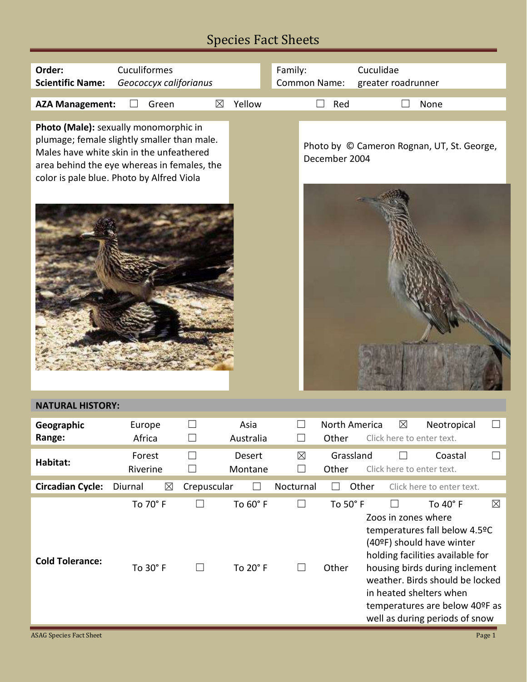| Order:                                                                                                                                                                                                                       | Cuculiformes           |                                        |                      | Family:                          |                          | Cuculidae                                                                                                                                                                                                                                                                                                                   |
|------------------------------------------------------------------------------------------------------------------------------------------------------------------------------------------------------------------------------|------------------------|----------------------------------------|----------------------|----------------------------------|--------------------------|-----------------------------------------------------------------------------------------------------------------------------------------------------------------------------------------------------------------------------------------------------------------------------------------------------------------------------|
| <b>Scientific Name:</b>                                                                                                                                                                                                      | Geococcyx califorianus |                                        |                      | Common Name:                     |                          | greater roadrunner                                                                                                                                                                                                                                                                                                          |
| <b>AZA Management:</b>                                                                                                                                                                                                       | Green                  | $\boxtimes$                            | Yellow               |                                  | Red<br>$\vert \ \ \vert$ | None                                                                                                                                                                                                                                                                                                                        |
| Photo (Male): sexually monomorphic in<br>plumage; female slightly smaller than male.<br>Males have white skin in the unfeathered<br>area behind the eye whereas in females, the<br>color is pale blue. Photo by Alfred Viola |                        |                                        |                      |                                  | December 2004            | Photo by © Cameron Rognan, UT, St. George,                                                                                                                                                                                                                                                                                  |
| <b>NATURAL HISTORY:</b>                                                                                                                                                                                                      |                        |                                        |                      |                                  |                          |                                                                                                                                                                                                                                                                                                                             |
|                                                                                                                                                                                                                              |                        |                                        |                      |                                  |                          |                                                                                                                                                                                                                                                                                                                             |
| Geographic<br>Range:                                                                                                                                                                                                         | Europe<br>Africa       |                                        | Asia<br>Australia    | $\mathcal{L}_{\mathcal{A}}$      | North America<br>Other   | $\boxtimes$<br>Neotropical<br>Click here to enter text.                                                                                                                                                                                                                                                                     |
| Habitat:                                                                                                                                                                                                                     | Forest<br>Riverine     | $\vert \ \ \vert$<br>$\vert \ \ \vert$ | Desert<br>Montane    | $\boxtimes$<br>$\vert \ \ \vert$ | Grassland<br>Other       | Coastal<br>Click here to enter text.                                                                                                                                                                                                                                                                                        |
| <b>Circadian Cycle:</b>                                                                                                                                                                                                      | Diurnal<br>$\boxtimes$ | Crepuscular                            |                      | Nocturnal                        |                          | Other<br>Click here to enter text.                                                                                                                                                                                                                                                                                          |
| <b>Cold Tolerance:</b>                                                                                                                                                                                                       | To 70° F<br>To 30° F   | П<br>$\vert \ \ \vert$                 | To 60° F<br>To 20° F | П<br>$\perp$                     | To 50° F<br>Other        | To $40^\circ$ F<br>$\boxtimes$<br>Zoos in zones where<br>temperatures fall below 4.5ºC<br>(40ºF) should have winter<br>holding facilities available for<br>housing birds during inclement<br>weather. Birds should be locked<br>in heated shelters when<br>temperatures are below 40°F as<br>well as during periods of snow |
| <b>ASAG Species Fact Sheet</b>                                                                                                                                                                                               |                        |                                        |                      |                                  |                          | Page 1                                                                                                                                                                                                                                                                                                                      |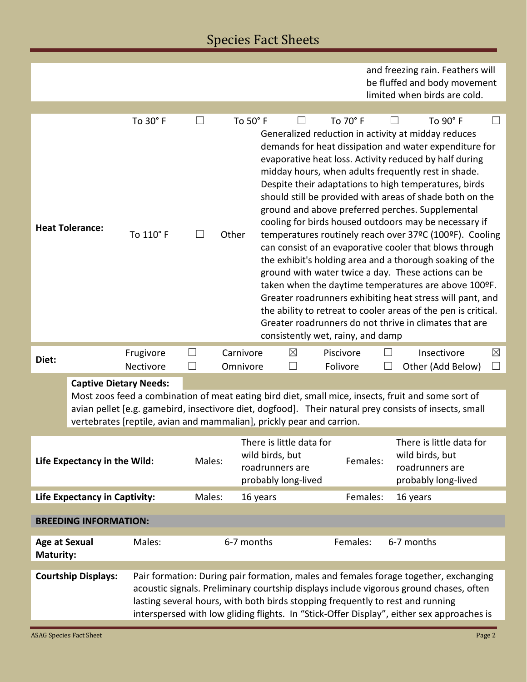|                                                                                                                                                                                                                                                                                                                        |                                      |                       |        |                   |                                                                                       |             |                                                |                                                                                       | and freezing rain. Feathers will<br>be fluffed and body movement<br>limited when birds are cold.                                                                                                                                                                                                                                                                                                                                                                                                                                                                                                                                                                                                                                                                                                                                                                                                                                                                       |                   |
|------------------------------------------------------------------------------------------------------------------------------------------------------------------------------------------------------------------------------------------------------------------------------------------------------------------------|--------------------------------------|-----------------------|--------|-------------------|---------------------------------------------------------------------------------------|-------------|------------------------------------------------|---------------------------------------------------------------------------------------|------------------------------------------------------------------------------------------------------------------------------------------------------------------------------------------------------------------------------------------------------------------------------------------------------------------------------------------------------------------------------------------------------------------------------------------------------------------------------------------------------------------------------------------------------------------------------------------------------------------------------------------------------------------------------------------------------------------------------------------------------------------------------------------------------------------------------------------------------------------------------------------------------------------------------------------------------------------------|-------------------|
|                                                                                                                                                                                                                                                                                                                        |                                      |                       |        |                   |                                                                                       |             |                                                |                                                                                       |                                                                                                                                                                                                                                                                                                                                                                                                                                                                                                                                                                                                                                                                                                                                                                                                                                                                                                                                                                        |                   |
|                                                                                                                                                                                                                                                                                                                        | <b>Heat Tolerance:</b>               | To 30° F<br>To 110° F |        | To 50° F<br>Other |                                                                                       |             | To 70° F                                       |                                                                                       | To 90° F<br>Generalized reduction in activity at midday reduces<br>demands for heat dissipation and water expenditure for<br>evaporative heat loss. Activity reduced by half during<br>midday hours, when adults frequently rest in shade.<br>Despite their adaptations to high temperatures, birds<br>should still be provided with areas of shade both on the<br>ground and above preferred perches. Supplemental<br>cooling for birds housed outdoors may be necessary if<br>temperatures routinely reach over 37°C (100°F). Cooling<br>can consist of an evaporative cooler that blows through<br>the exhibit's holding area and a thorough soaking of the<br>ground with water twice a day. These actions can be<br>taken when the daytime temperatures are above 100ºF.<br>Greater roadrunners exhibiting heat stress will pant, and<br>the ability to retreat to cooler areas of the pen is critical.<br>Greater roadrunners do not thrive in climates that are |                   |
| Diet:                                                                                                                                                                                                                                                                                                                  |                                      | Frugivore             | M      | Carnivore         |                                                                                       | $\boxtimes$ | consistently wet, rainy, and damp<br>Piscivore |                                                                                       | Insectivore                                                                                                                                                                                                                                                                                                                                                                                                                                                                                                                                                                                                                                                                                                                                                                                                                                                                                                                                                            | $\boxtimes$       |
|                                                                                                                                                                                                                                                                                                                        |                                      | Nectivore             |        | Omnivore          |                                                                                       | П           | Folivore                                       |                                                                                       | Other (Add Below)                                                                                                                                                                                                                                                                                                                                                                                                                                                                                                                                                                                                                                                                                                                                                                                                                                                                                                                                                      | $\vert \ \ \vert$ |
| <b>Captive Dietary Needs:</b><br>Most zoos feed a combination of meat eating bird diet, small mice, insects, fruit and some sort of<br>avian pellet [e.g. gamebird, insectivore diet, dogfood]. Their natural prey consists of insects, small<br>vertebrates [reptile, avian and mammalian], prickly pear and carrion. |                                      |                       |        |                   |                                                                                       |             |                                                |                                                                                       |                                                                                                                                                                                                                                                                                                                                                                                                                                                                                                                                                                                                                                                                                                                                                                                                                                                                                                                                                                        |                   |
| Life Expectancy in the Wild:                                                                                                                                                                                                                                                                                           |                                      |                       | Males: |                   | There is little data for<br>wild birds, but<br>roadrunners are<br>probably long-lived |             | Females:                                       | There is little data for<br>wild birds, but<br>roadrunners are<br>probably long-lived |                                                                                                                                                                                                                                                                                                                                                                                                                                                                                                                                                                                                                                                                                                                                                                                                                                                                                                                                                                        |                   |
|                                                                                                                                                                                                                                                                                                                        | <b>Life Expectancy in Captivity:</b> |                       | Males: |                   | 16 years                                                                              |             | Females:                                       |                                                                                       | 16 years                                                                                                                                                                                                                                                                                                                                                                                                                                                                                                                                                                                                                                                                                                                                                                                                                                                                                                                                                               |                   |
| <b>BREEDING INFORMATION:</b>                                                                                                                                                                                                                                                                                           |                                      |                       |        |                   |                                                                                       |             |                                                |                                                                                       |                                                                                                                                                                                                                                                                                                                                                                                                                                                                                                                                                                                                                                                                                                                                                                                                                                                                                                                                                                        |                   |
| Males:<br><b>Age at Sexual</b><br><b>Maturity:</b>                                                                                                                                                                                                                                                                     |                                      | 6-7 months            |        |                   | Females:                                                                              |             | 6-7 months                                     |                                                                                       |                                                                                                                                                                                                                                                                                                                                                                                                                                                                                                                                                                                                                                                                                                                                                                                                                                                                                                                                                                        |                   |
|                                                                                                                                                                                                                                                                                                                        | <b>Courtship Displays:</b>           |                       |        |                   |                                                                                       |             |                                                |                                                                                       | Pair formation: During pair formation, males and females forage together, exchanging<br>acoustic signals. Preliminary courtship displays include vigorous ground chases, often<br>lasting several hours, with both birds stopping frequently to rest and running<br>interspersed with low gliding flights. In "Stick-Offer Display", either sex approaches is                                                                                                                                                                                                                                                                                                                                                                                                                                                                                                                                                                                                          |                   |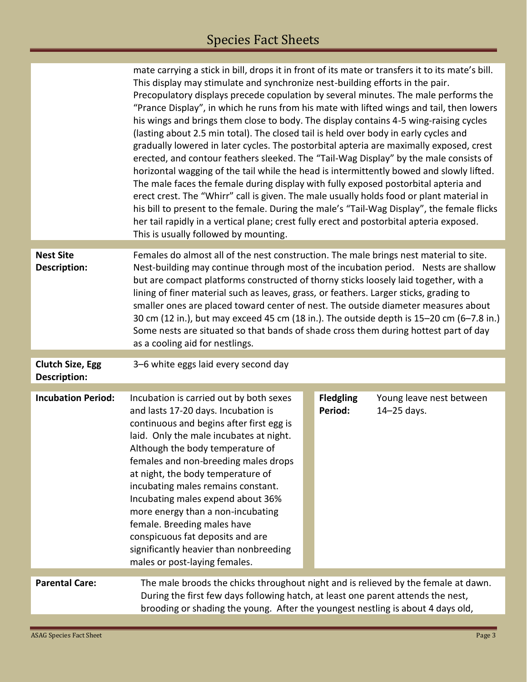|                                                | mate carrying a stick in bill, drops it in front of its mate or transfers it to its mate's bill.<br>This display may stimulate and synchronize nest-building efforts in the pair.<br>Precopulatory displays precede copulation by several minutes. The male performs the<br>"Prance Display", in which he runs from his mate with lifted wings and tail, then lowers<br>his wings and brings them close to body. The display contains 4-5 wing-raising cycles<br>(lasting about 2.5 min total). The closed tail is held over body in early cycles and<br>gradually lowered in later cycles. The postorbital apteria are maximally exposed, crest<br>erected, and contour feathers sleeked. The "Tail-Wag Display" by the male consists of<br>horizontal wagging of the tail while the head is intermittently bowed and slowly lifted.<br>The male faces the female during display with fully exposed postorbital apteria and<br>erect crest. The "Whirr" call is given. The male usually holds food or plant material in<br>his bill to present to the female. During the male's "Tail-Wag Display", the female flicks<br>her tail rapidly in a vertical plane; crest fully erect and postorbital apteria exposed.<br>This is usually followed by mounting. |  |                             |                                         |  |  |
|------------------------------------------------|-------------------------------------------------------------------------------------------------------------------------------------------------------------------------------------------------------------------------------------------------------------------------------------------------------------------------------------------------------------------------------------------------------------------------------------------------------------------------------------------------------------------------------------------------------------------------------------------------------------------------------------------------------------------------------------------------------------------------------------------------------------------------------------------------------------------------------------------------------------------------------------------------------------------------------------------------------------------------------------------------------------------------------------------------------------------------------------------------------------------------------------------------------------------------------------------------------------------------------------------------------------|--|-----------------------------|-----------------------------------------|--|--|
| <b>Nest Site</b><br>Description:               | Females do almost all of the nest construction. The male brings nest material to site.<br>Nest-building may continue through most of the incubation period. Nests are shallow<br>but are compact platforms constructed of thorny sticks loosely laid together, with a<br>lining of finer material such as leaves, grass, or feathers. Larger sticks, grading to<br>smaller ones are placed toward center of nest. The outside diameter measures about<br>30 cm (12 in.), but may exceed 45 cm (18 in.). The outside depth is 15-20 cm (6-7.8 in.)<br>Some nests are situated so that bands of shade cross them during hottest part of day<br>as a cooling aid for nestlings.                                                                                                                                                                                                                                                                                                                                                                                                                                                                                                                                                                                |  |                             |                                         |  |  |
| <b>Clutch Size, Egg</b><br><b>Description:</b> | 3-6 white eggs laid every second day                                                                                                                                                                                                                                                                                                                                                                                                                                                                                                                                                                                                                                                                                                                                                                                                                                                                                                                                                                                                                                                                                                                                                                                                                        |  |                             |                                         |  |  |
| <b>Incubation Period:</b>                      | Incubation is carried out by both sexes<br>and lasts 17-20 days. Incubation is<br>continuous and begins after first egg is<br>laid. Only the male incubates at night.<br>Although the body temperature of<br>females and non-breeding males drops<br>at night, the body temperature of<br>incubating males remains constant.<br>Incubating males expend about 36%<br>more energy than a non-incubating<br>female. Breeding males have<br>conspicuous fat deposits and are<br>significantly heavier than nonbreeding<br>males or post-laying females.                                                                                                                                                                                                                                                                                                                                                                                                                                                                                                                                                                                                                                                                                                        |  | <b>Fledgling</b><br>Period: | Young leave nest between<br>14-25 days. |  |  |
| <b>Parental Care:</b>                          | The male broods the chicks throughout night and is relieved by the female at dawn.<br>During the first few days following hatch, at least one parent attends the nest,<br>brooding or shading the young. After the youngest nestling is about 4 days old,                                                                                                                                                                                                                                                                                                                                                                                                                                                                                                                                                                                                                                                                                                                                                                                                                                                                                                                                                                                                   |  |                             |                                         |  |  |

Г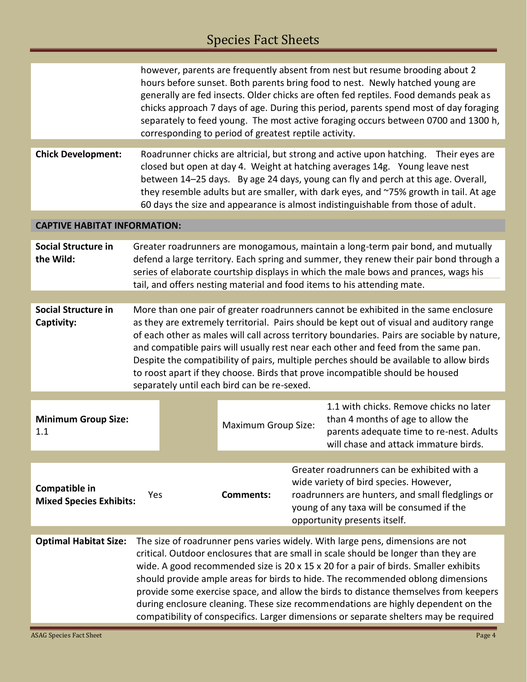|                                                                                                                                                                                                                                                                                                                                                                                                                                                                                                                                                                                                                                                       | however, parents are frequently absent from nest but resume brooding about 2<br>hours before sunset. Both parents bring food to nest. Newly hatched young are<br>generally are fed insects. Older chicks are often fed reptiles. Food demands peak as<br>chicks approach 7 days of age. During this period, parents spend most of day foraging<br>separately to feed young. The most active foraging occurs between 0700 and 1300 h,<br>corresponding to period of greatest reptile activity.                                                                                                   |                     |  |                                                                                                                                                                                                                        |  |  |
|-------------------------------------------------------------------------------------------------------------------------------------------------------------------------------------------------------------------------------------------------------------------------------------------------------------------------------------------------------------------------------------------------------------------------------------------------------------------------------------------------------------------------------------------------------------------------------------------------------------------------------------------------------|-------------------------------------------------------------------------------------------------------------------------------------------------------------------------------------------------------------------------------------------------------------------------------------------------------------------------------------------------------------------------------------------------------------------------------------------------------------------------------------------------------------------------------------------------------------------------------------------------|---------------------|--|------------------------------------------------------------------------------------------------------------------------------------------------------------------------------------------------------------------------|--|--|
| <b>Chick Development:</b>                                                                                                                                                                                                                                                                                                                                                                                                                                                                                                                                                                                                                             | Roadrunner chicks are altricial, but strong and active upon hatching.<br>Their eyes are<br>closed but open at day 4. Weight at hatching averages 14g. Young leave nest<br>between 14-25 days. By age 24 days, young can fly and perch at this age. Overall,<br>they resemble adults but are smaller, with dark eyes, and ~75% growth in tail. At age<br>60 days the size and appearance is almost indistinguishable from those of adult.                                                                                                                                                        |                     |  |                                                                                                                                                                                                                        |  |  |
| <b>CAPTIVE HABITAT INFORMATION:</b>                                                                                                                                                                                                                                                                                                                                                                                                                                                                                                                                                                                                                   |                                                                                                                                                                                                                                                                                                                                                                                                                                                                                                                                                                                                 |                     |  |                                                                                                                                                                                                                        |  |  |
| <b>Social Structure in</b><br>the Wild:                                                                                                                                                                                                                                                                                                                                                                                                                                                                                                                                                                                                               | Greater roadrunners are monogamous, maintain a long-term pair bond, and mutually<br>defend a large territory. Each spring and summer, they renew their pair bond through a<br>series of elaborate courtship displays in which the male bows and prances, wags his<br>tail, and offers nesting material and food items to his attending mate.                                                                                                                                                                                                                                                    |                     |  |                                                                                                                                                                                                                        |  |  |
|                                                                                                                                                                                                                                                                                                                                                                                                                                                                                                                                                                                                                                                       |                                                                                                                                                                                                                                                                                                                                                                                                                                                                                                                                                                                                 |                     |  |                                                                                                                                                                                                                        |  |  |
| <b>Social Structure in</b><br>Captivity:                                                                                                                                                                                                                                                                                                                                                                                                                                                                                                                                                                                                              | More than one pair of greater roadrunners cannot be exhibited in the same enclosure<br>as they are extremely territorial. Pairs should be kept out of visual and auditory range<br>of each other as males will call across territory boundaries. Pairs are sociable by nature,<br>and compatible pairs will usually rest near each other and feed from the same pan.<br>Despite the compatibility of pairs, multiple perches should be available to allow birds<br>to roost apart if they choose. Birds that prove incompatible should be housed<br>separately until each bird can be re-sexed. |                     |  |                                                                                                                                                                                                                        |  |  |
| <b>Minimum Group Size:</b><br>1.1                                                                                                                                                                                                                                                                                                                                                                                                                                                                                                                                                                                                                     |                                                                                                                                                                                                                                                                                                                                                                                                                                                                                                                                                                                                 | Maximum Group Size: |  | 1.1 with chicks. Remove chicks no later<br>than 4 months of age to allow the<br>parents adequate time to re-nest. Adults<br>will chase and attack immature birds.                                                      |  |  |
|                                                                                                                                                                                                                                                                                                                                                                                                                                                                                                                                                                                                                                                       |                                                                                                                                                                                                                                                                                                                                                                                                                                                                                                                                                                                                 |                     |  |                                                                                                                                                                                                                        |  |  |
| Compatible in<br><b>Mixed Species Exhibits:</b>                                                                                                                                                                                                                                                                                                                                                                                                                                                                                                                                                                                                       | Yes                                                                                                                                                                                                                                                                                                                                                                                                                                                                                                                                                                                             | <b>Comments:</b>    |  | Greater roadrunners can be exhibited with a<br>wide variety of bird species. However,<br>roadrunners are hunters, and small fledglings or<br>young of any taxa will be consumed if the<br>opportunity presents itself. |  |  |
| The size of roadrunner pens varies widely. With large pens, dimensions are not<br><b>Optimal Habitat Size:</b><br>critical. Outdoor enclosures that are small in scale should be longer than they are<br>wide. A good recommended size is 20 x 15 x 20 for a pair of birds. Smaller exhibits<br>should provide ample areas for birds to hide. The recommended oblong dimensions<br>provide some exercise space, and allow the birds to distance themselves from keepers<br>during enclosure cleaning. These size recommendations are highly dependent on the<br>compatibility of conspecifics. Larger dimensions or separate shelters may be required |                                                                                                                                                                                                                                                                                                                                                                                                                                                                                                                                                                                                 |                     |  |                                                                                                                                                                                                                        |  |  |

Ξ